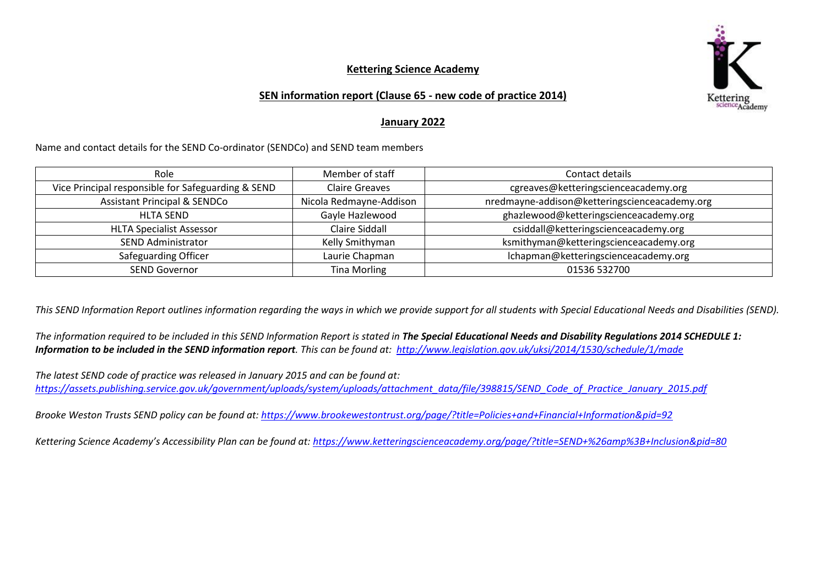

## **Kettering Science Academy**

## **SEN information report (Clause 65 - new code of practice 2014)**

## **January 2022**

Name and contact details for the SEND Co-ordinator (SENDCo) and SEND team members

| Role                                               | Member of staff         | Contact details                               |
|----------------------------------------------------|-------------------------|-----------------------------------------------|
| Vice Principal responsible for Safeguarding & SEND | <b>Claire Greaves</b>   | cgreaves@ketteringscienceacademy.org          |
| <b>Assistant Principal &amp; SENDCo</b>            | Nicola Redmayne-Addison | nredmayne-addison@ketteringscienceacademy.org |
| <b>HLTA SEND</b>                                   | Gayle Hazlewood         | ghazlewood@ketteringscienceacademy.org        |
| <b>HLTA Specialist Assessor</b>                    | Claire Siddall          | csiddall@ketteringscienceacademy.org          |
| <b>SEND Administrator</b>                          | Kelly Smithyman         | ksmithyman@ketteringscienceacademy.org        |
| Safeguarding Officer                               | Laurie Chapman          | Ichapman@ketteringscienceacademy.org          |
| <b>SEND Governor</b>                               | <b>Tina Morling</b>     | 01536 532700                                  |

*This SEND Information Report outlines information regarding the ways in which we provide support for all students with Special Educational Needs and Disabilities (SEND).*

The information required to be included in this SEND Information Report is stated in **The Special Educational Needs and Disability Requlations 2014 SCHEDULE 1:** *Information to be included in the SEND information report. This can be found at: <http://www.legislation.gov.uk/uksi/2014/1530/schedule/1/made>*

*The latest SEND code of practice was released in January 2015 and can be found at: [https://assets.publishing.service.gov.uk/government/uploads/system/uploads/attachment\\_data/file/398815/SEND\\_Code\\_of\\_Practice\\_January\\_2015.pdf](https://assets.publishing.service.gov.uk/government/uploads/system/uploads/attachment_data/file/398815/SEND_Code_of_Practice_January_2015.pdf)*

*Brooke Weston Trusts SEND policy can be found at:<https://www.brookewestontrust.org/page/?title=Policies+and+Financial+Information&pid=92>*

*Kettering Science Academy's Accessibility Plan can be found at: <https://www.ketteringscienceacademy.org/page/?title=SEND+%26amp%3B+Inclusion&pid=80>*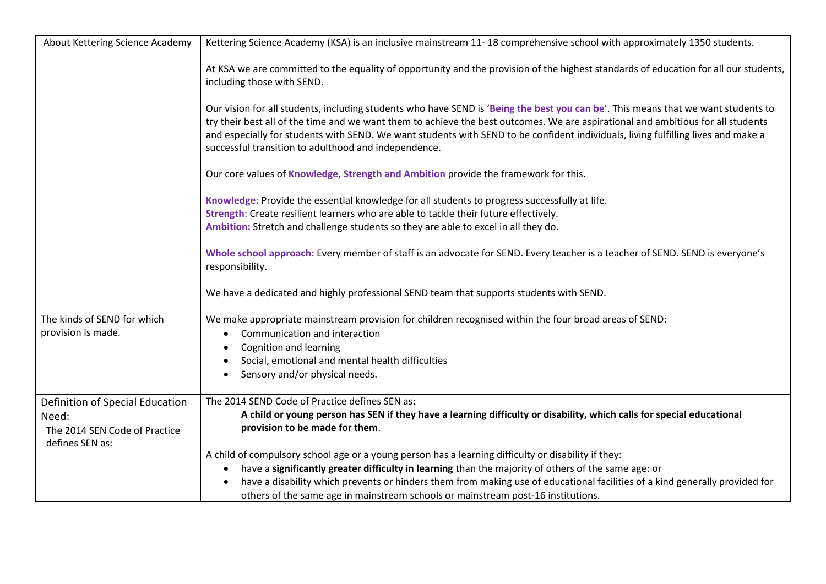| About Kettering Science Academy                                                              | Kettering Science Academy (KSA) is an inclusive mainstream 11-18 comprehensive school with approximately 1350 students.                                                                                                                                                                                                                                                                                                                                            |
|----------------------------------------------------------------------------------------------|--------------------------------------------------------------------------------------------------------------------------------------------------------------------------------------------------------------------------------------------------------------------------------------------------------------------------------------------------------------------------------------------------------------------------------------------------------------------|
|                                                                                              | At KSA we are committed to the equality of opportunity and the provision of the highest standards of education for all our students,<br>including those with SEND.                                                                                                                                                                                                                                                                                                 |
|                                                                                              | Our vision for all students, including students who have SEND is 'Being the best you can be'. This means that we want students to<br>try their best all of the time and we want them to achieve the best outcomes. We are aspirational and ambitious for all students<br>and especially for students with SEND. We want students with SEND to be confident individuals, living fulfilling lives and make a<br>successful transition to adulthood and independence. |
|                                                                                              | Our core values of Knowledge, Strength and Ambition provide the framework for this.                                                                                                                                                                                                                                                                                                                                                                                |
|                                                                                              | Knowledge: Provide the essential knowledge for all students to progress successfully at life.<br>Strength: Create resilient learners who are able to tackle their future effectively.<br>Ambition: Stretch and challenge students so they are able to excel in all they do.                                                                                                                                                                                        |
|                                                                                              | Whole school approach: Every member of staff is an advocate for SEND. Every teacher is a teacher of SEND. SEND is everyone's<br>responsibility.                                                                                                                                                                                                                                                                                                                    |
|                                                                                              | We have a dedicated and highly professional SEND team that supports students with SEND.                                                                                                                                                                                                                                                                                                                                                                            |
| The kinds of SEND for which<br>provision is made.                                            | We make appropriate mainstream provision for children recognised within the four broad areas of SEND:<br>Communication and interaction<br>Cognition and learning<br>Social, emotional and mental health difficulties<br>Sensory and/or physical needs.                                                                                                                                                                                                             |
| Definition of Special Education<br>Need:<br>The 2014 SEN Code of Practice<br>defines SEN as: | The 2014 SEND Code of Practice defines SEN as:<br>A child or young person has SEN if they have a learning difficulty or disability, which calls for special educational<br>provision to be made for them.                                                                                                                                                                                                                                                          |
|                                                                                              | A child of compulsory school age or a young person has a learning difficulty or disability if they:<br>have a significantly greater difficulty in learning than the majority of others of the same age: or<br>have a disability which prevents or hinders them from making use of educational facilities of a kind generally provided for<br>others of the same age in mainstream schools or mainstream post-16 institutions.                                      |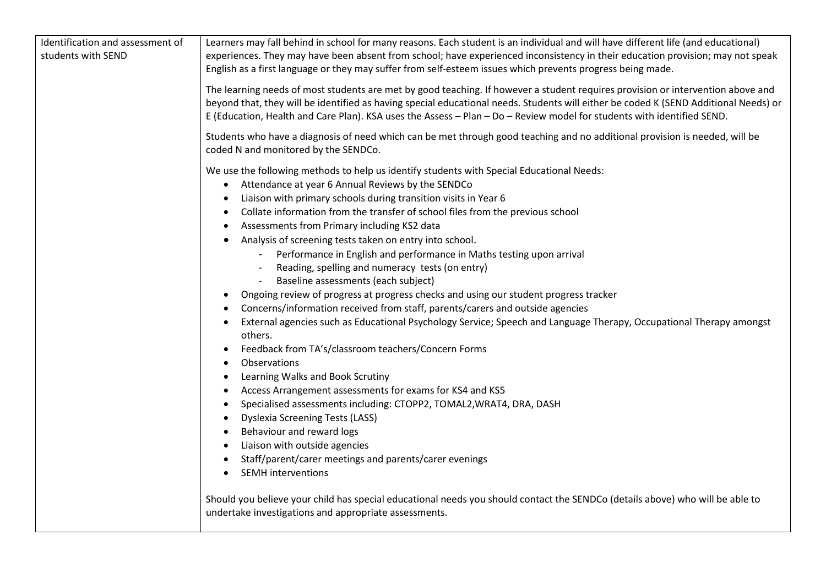| Identification and assessment of | Learners may fall behind in school for many reasons. Each student is an individual and will have different life (and educational)                                                                                                                                                                                                                                                                                                                                                                                                                                                                                                                                                                                                                                                                                                                                                                                                                                                                                                                                                                                                                                                                                                           |
|----------------------------------|---------------------------------------------------------------------------------------------------------------------------------------------------------------------------------------------------------------------------------------------------------------------------------------------------------------------------------------------------------------------------------------------------------------------------------------------------------------------------------------------------------------------------------------------------------------------------------------------------------------------------------------------------------------------------------------------------------------------------------------------------------------------------------------------------------------------------------------------------------------------------------------------------------------------------------------------------------------------------------------------------------------------------------------------------------------------------------------------------------------------------------------------------------------------------------------------------------------------------------------------|
| students with SEND               | experiences. They may have been absent from school; have experienced inconsistency in their education provision; may not speak                                                                                                                                                                                                                                                                                                                                                                                                                                                                                                                                                                                                                                                                                                                                                                                                                                                                                                                                                                                                                                                                                                              |
|                                  | English as a first language or they may suffer from self-esteem issues which prevents progress being made.                                                                                                                                                                                                                                                                                                                                                                                                                                                                                                                                                                                                                                                                                                                                                                                                                                                                                                                                                                                                                                                                                                                                  |
|                                  | The learning needs of most students are met by good teaching. If however a student requires provision or intervention above and<br>beyond that, they will be identified as having special educational needs. Students will either be coded K (SEND Additional Needs) or<br>E (Education, Health and Care Plan). KSA uses the Assess - Plan - Do - Review model for students with identified SEND.                                                                                                                                                                                                                                                                                                                                                                                                                                                                                                                                                                                                                                                                                                                                                                                                                                           |
|                                  | Students who have a diagnosis of need which can be met through good teaching and no additional provision is needed, will be<br>coded N and monitored by the SENDCo.                                                                                                                                                                                                                                                                                                                                                                                                                                                                                                                                                                                                                                                                                                                                                                                                                                                                                                                                                                                                                                                                         |
|                                  | We use the following methods to help us identify students with Special Educational Needs:<br>Attendance at year 6 Annual Reviews by the SENDCo<br>$\bullet$<br>Liaison with primary schools during transition visits in Year 6<br>Collate information from the transfer of school files from the previous school<br>Assessments from Primary including KS2 data<br>Analysis of screening tests taken on entry into school.<br>Performance in English and performance in Maths testing upon arrival<br>Reading, spelling and numeracy tests (on entry)<br>Baseline assessments (each subject)<br>Ongoing review of progress at progress checks and using our student progress tracker<br>Concerns/information received from staff, parents/carers and outside agencies<br>External agencies such as Educational Psychology Service; Speech and Language Therapy, Occupational Therapy amongst<br>$\bullet$<br>others.<br>Feedback from TA's/classroom teachers/Concern Forms<br>$\bullet$<br>Observations<br>Learning Walks and Book Scrutiny<br>$\bullet$<br>Access Arrangement assessments for exams for KS4 and KS5<br>Specialised assessments including: CTOPP2, TOMAL2, WRAT4, DRA, DASH<br><b>Dyslexia Screening Tests (LASS)</b><br>٠ |
|                                  | Behaviour and reward logs<br>Liaison with outside agencies<br>Staff/parent/carer meetings and parents/carer evenings<br><b>SEMH</b> interventions                                                                                                                                                                                                                                                                                                                                                                                                                                                                                                                                                                                                                                                                                                                                                                                                                                                                                                                                                                                                                                                                                           |
|                                  | Should you believe your child has special educational needs you should contact the SENDCo (details above) who will be able to<br>undertake investigations and appropriate assessments.                                                                                                                                                                                                                                                                                                                                                                                                                                                                                                                                                                                                                                                                                                                                                                                                                                                                                                                                                                                                                                                      |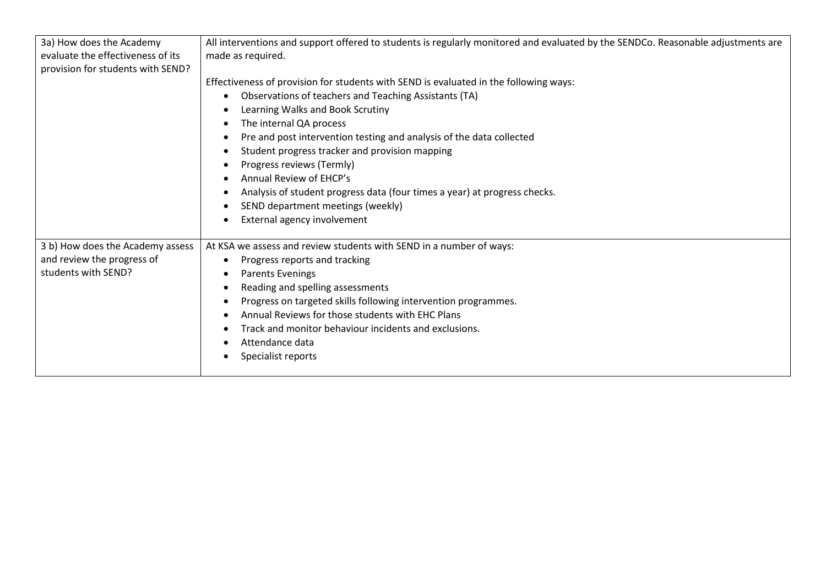| 3a) How does the Academy          | All interventions and support offered to students is regularly monitored and evaluated by the SENDCo. Reasonable adjustments are |
|-----------------------------------|----------------------------------------------------------------------------------------------------------------------------------|
| evaluate the effectiveness of its | made as required.                                                                                                                |
| provision for students with SEND? |                                                                                                                                  |
|                                   | Effectiveness of provision for students with SEND is evaluated in the following ways:                                            |
|                                   | Observations of teachers and Teaching Assistants (TA)                                                                            |
|                                   | Learning Walks and Book Scrutiny                                                                                                 |
|                                   | The internal QA process                                                                                                          |
|                                   | Pre and post intervention testing and analysis of the data collected                                                             |
|                                   | Student progress tracker and provision mapping                                                                                   |
|                                   | Progress reviews (Termly)                                                                                                        |
|                                   | Annual Review of EHCP's                                                                                                          |
|                                   | Analysis of student progress data (four times a year) at progress checks.                                                        |
|                                   | SEND department meetings (weekly)                                                                                                |
|                                   | External agency involvement                                                                                                      |
|                                   |                                                                                                                                  |
| 3 b) How does the Academy assess  | At KSA we assess and review students with SEND in a number of ways:                                                              |
| and review the progress of        | Progress reports and tracking                                                                                                    |
| students with SEND?               | <b>Parents Evenings</b>                                                                                                          |
|                                   | Reading and spelling assessments                                                                                                 |
|                                   | Progress on targeted skills following intervention programmes.                                                                   |
|                                   | Annual Reviews for those students with EHC Plans                                                                                 |
|                                   | Track and monitor behaviour incidents and exclusions.                                                                            |
|                                   | Attendance data                                                                                                                  |
|                                   | Specialist reports                                                                                                               |
|                                   |                                                                                                                                  |
|                                   |                                                                                                                                  |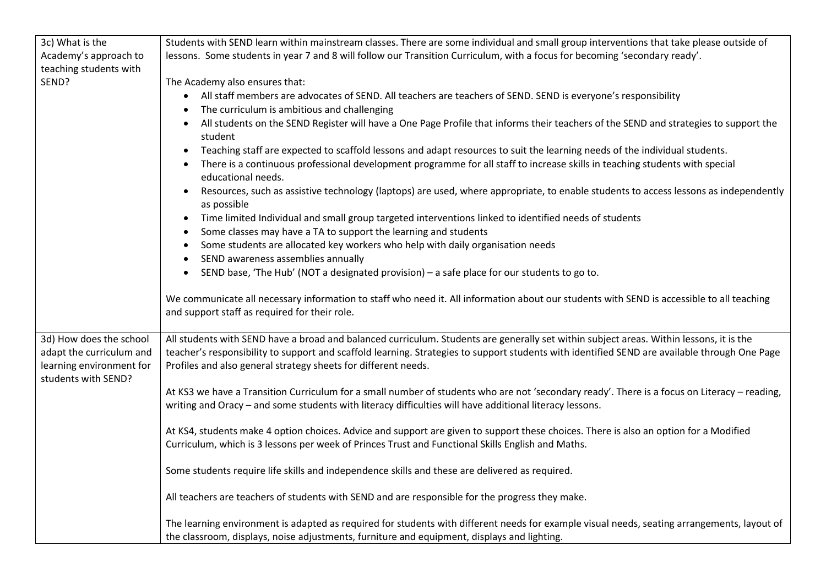| 3c) What is the                                     | Students with SEND learn within mainstream classes. There are some individual and small group interventions that take please outside of                                                                                                                                                  |
|-----------------------------------------------------|------------------------------------------------------------------------------------------------------------------------------------------------------------------------------------------------------------------------------------------------------------------------------------------|
| Academy's approach to                               | lessons. Some students in year 7 and 8 will follow our Transition Curriculum, with a focus for becoming 'secondary ready'.                                                                                                                                                               |
| teaching students with                              |                                                                                                                                                                                                                                                                                          |
| SEND?                                               | The Academy also ensures that:                                                                                                                                                                                                                                                           |
|                                                     | All staff members are advocates of SEND. All teachers are teachers of SEND. SEND is everyone's responsibility                                                                                                                                                                            |
|                                                     | The curriculum is ambitious and challenging                                                                                                                                                                                                                                              |
|                                                     | All students on the SEND Register will have a One Page Profile that informs their teachers of the SEND and strategies to support the<br>student                                                                                                                                          |
|                                                     | Teaching staff are expected to scaffold lessons and adapt resources to suit the learning needs of the individual students.                                                                                                                                                               |
|                                                     | There is a continuous professional development programme for all staff to increase skills in teaching students with special                                                                                                                                                              |
|                                                     | educational needs.                                                                                                                                                                                                                                                                       |
|                                                     | Resources, such as assistive technology (laptops) are used, where appropriate, to enable students to access lessons as independently<br>$\bullet$<br>as possible                                                                                                                         |
|                                                     | Time limited Individual and small group targeted interventions linked to identified needs of students<br>$\bullet$                                                                                                                                                                       |
|                                                     | Some classes may have a TA to support the learning and students                                                                                                                                                                                                                          |
|                                                     | Some students are allocated key workers who help with daily organisation needs                                                                                                                                                                                                           |
|                                                     | SEND awareness assemblies annually                                                                                                                                                                                                                                                       |
|                                                     | SEND base, 'The Hub' (NOT a designated provision) - a safe place for our students to go to.                                                                                                                                                                                              |
|                                                     |                                                                                                                                                                                                                                                                                          |
|                                                     | We communicate all necessary information to staff who need it. All information about our students with SEND is accessible to all teaching<br>and support staff as required for their role.                                                                                               |
| 3d) How does the school<br>adapt the curriculum and | All students with SEND have a broad and balanced curriculum. Students are generally set within subject areas. Within lessons, it is the<br>teacher's responsibility to support and scaffold learning. Strategies to support students with identified SEND are available through One Page |
| learning environment for                            | Profiles and also general strategy sheets for different needs.                                                                                                                                                                                                                           |
| students with SEND?                                 |                                                                                                                                                                                                                                                                                          |
|                                                     | At KS3 we have a Transition Curriculum for a small number of students who are not 'secondary ready'. There is a focus on Literacy - reading,                                                                                                                                             |
|                                                     | writing and Oracy - and some students with literacy difficulties will have additional literacy lessons.                                                                                                                                                                                  |
|                                                     |                                                                                                                                                                                                                                                                                          |
|                                                     | At KS4, students make 4 option choices. Advice and support are given to support these choices. There is also an option for a Modified                                                                                                                                                    |
|                                                     | Curriculum, which is 3 lessons per week of Princes Trust and Functional Skills English and Maths.                                                                                                                                                                                        |
|                                                     | Some students require life skills and independence skills and these are delivered as required.                                                                                                                                                                                           |
|                                                     | All teachers are teachers of students with SEND and are responsible for the progress they make.                                                                                                                                                                                          |
|                                                     | The learning environment is adapted as required for students with different needs for example visual needs, seating arrangements, layout of                                                                                                                                              |
|                                                     | the classroom, displays, noise adjustments, furniture and equipment, displays and lighting.                                                                                                                                                                                              |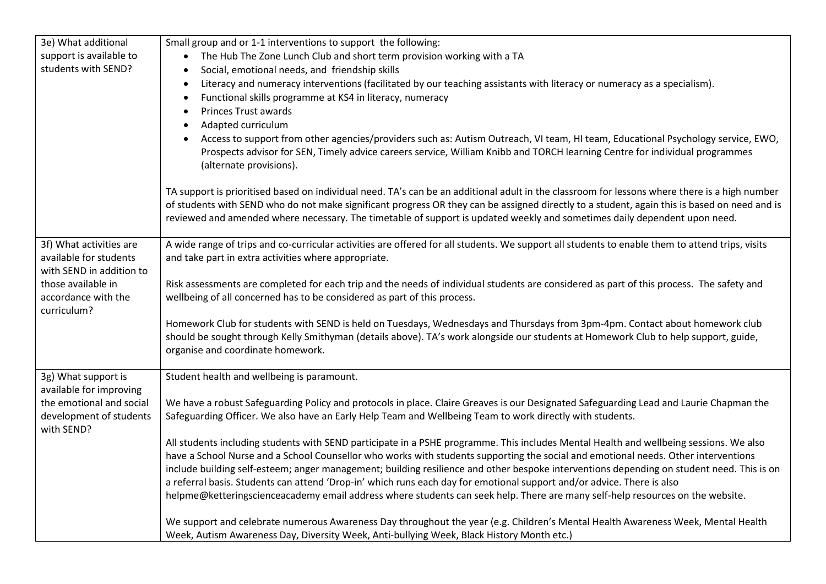| 3e) What additional      | Small group and or 1-1 interventions to support the following:                                                                                         |
|--------------------------|--------------------------------------------------------------------------------------------------------------------------------------------------------|
| support is available to  | The Hub The Zone Lunch Club and short term provision working with a TA                                                                                 |
| students with SEND?      | Social, emotional needs, and friendship skills<br>$\bullet$                                                                                            |
|                          | Literacy and numeracy interventions (facilitated by our teaching assistants with literacy or numeracy as a specialism).<br>$\bullet$                   |
|                          | Functional skills programme at KS4 in literacy, numeracy<br>$\bullet$                                                                                  |
|                          | <b>Princes Trust awards</b>                                                                                                                            |
|                          | Adapted curriculum                                                                                                                                     |
|                          | Access to support from other agencies/providers such as: Autism Outreach, VI team, HI team, Educational Psychology service, EWO,                       |
|                          | Prospects advisor for SEN, Timely advice careers service, William Knibb and TORCH learning Centre for individual programmes<br>(alternate provisions). |
|                          | TA support is prioritised based on individual need. TA's can be an additional adult in the classroom for lessons where there is a high number          |
|                          | of students with SEND who do not make significant progress OR they can be assigned directly to a student, again this is based on need and is           |
|                          | reviewed and amended where necessary. The timetable of support is updated weekly and sometimes daily dependent upon need.                              |
|                          |                                                                                                                                                        |
| 3f) What activities are  | A wide range of trips and co-curricular activities are offered for all students. We support all students to enable them to attend trips, visits        |
| available for students   | and take part in extra activities where appropriate.                                                                                                   |
| with SEND in addition to |                                                                                                                                                        |
| those available in       | Risk assessments are completed for each trip and the needs of individual students are considered as part of this process. The safety and               |
| accordance with the      | wellbeing of all concerned has to be considered as part of this process.                                                                               |
| curriculum?              |                                                                                                                                                        |
|                          | Homework Club for students with SEND is held on Tuesdays, Wednesdays and Thursdays from 3pm-4pm. Contact about homework club                           |
|                          | should be sought through Kelly Smithyman (details above). TA's work alongside our students at Homework Club to help support, guide,                    |
|                          | organise and coordinate homework.                                                                                                                      |
|                          |                                                                                                                                                        |
| 3g) What support is      | Student health and wellbeing is paramount.                                                                                                             |
| available for improving  |                                                                                                                                                        |
| the emotional and social | We have a robust Safeguarding Policy and protocols in place. Claire Greaves is our Designated Safeguarding Lead and Laurie Chapman the                 |
| development of students  | Safeguarding Officer. We also have an Early Help Team and Wellbeing Team to work directly with students.                                               |
| with SEND?               |                                                                                                                                                        |
|                          | All students including students with SEND participate in a PSHE programme. This includes Mental Health and wellbeing sessions. We also                 |
|                          | have a School Nurse and a School Counsellor who works with students supporting the social and emotional needs. Other interventions                     |
|                          | include building self-esteem; anger management; building resilience and other bespoke interventions depending on student need. This is on              |
|                          | a referral basis. Students can attend 'Drop-in' which runs each day for emotional support and/or advice. There is also                                 |
|                          | helpme@ketteringscienceacademy email address where students can seek help. There are many self-help resources on the website.                          |
|                          |                                                                                                                                                        |
|                          | We support and celebrate numerous Awareness Day throughout the year (e.g. Children's Mental Health Awareness Week, Mental Health                       |
|                          | Week, Autism Awareness Day, Diversity Week, Anti-bullying Week, Black History Month etc.)                                                              |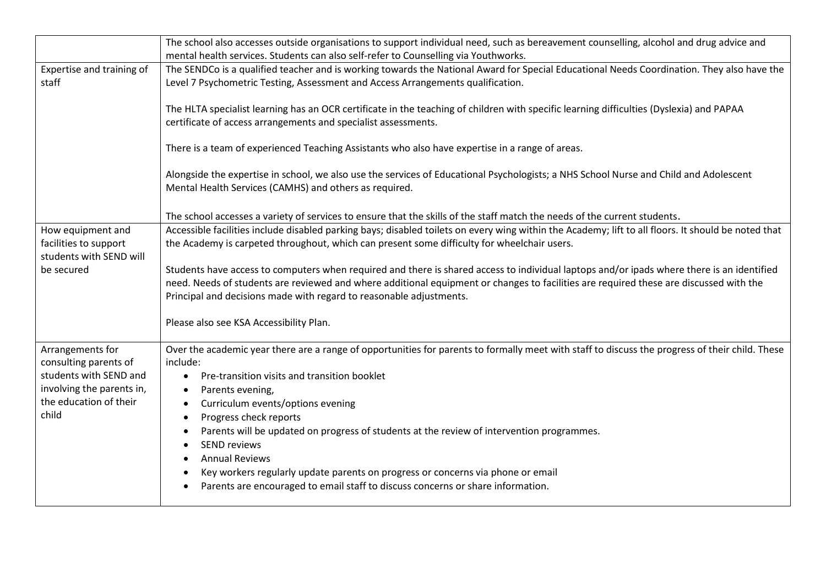|                           | The school also accesses outside organisations to support individual need, such as bereavement counselling, alcohol and drug advice and             |
|---------------------------|-----------------------------------------------------------------------------------------------------------------------------------------------------|
|                           | mental health services. Students can also self-refer to Counselling via Youthworks.                                                                 |
| Expertise and training of | The SENDCo is a qualified teacher and is working towards the National Award for Special Educational Needs Coordination. They also have the          |
| staff                     | Level 7 Psychometric Testing, Assessment and Access Arrangements qualification.                                                                     |
|                           |                                                                                                                                                     |
|                           | The HLTA specialist learning has an OCR certificate in the teaching of children with specific learning difficulties (Dyslexia) and PAPAA            |
|                           | certificate of access arrangements and specialist assessments.                                                                                      |
|                           | There is a team of experienced Teaching Assistants who also have expertise in a range of areas.                                                     |
|                           |                                                                                                                                                     |
|                           | Alongside the expertise in school, we also use the services of Educational Psychologists; a NHS School Nurse and Child and Adolescent               |
|                           | Mental Health Services (CAMHS) and others as required.                                                                                              |
|                           |                                                                                                                                                     |
|                           | The school accesses a variety of services to ensure that the skills of the staff match the needs of the current students.                           |
| How equipment and         | Accessible facilities include disabled parking bays; disabled toilets on every wing within the Academy; lift to all floors. It should be noted that |
| facilities to support     | the Academy is carpeted throughout, which can present some difficulty for wheelchair users.                                                         |
| students with SEND will   |                                                                                                                                                     |
| be secured                | Students have access to computers when required and there is shared access to individual laptops and/or ipads where there is an identified          |
|                           | need. Needs of students are reviewed and where additional equipment or changes to facilities are required these are discussed with the              |
|                           | Principal and decisions made with regard to reasonable adjustments.                                                                                 |
|                           | Please also see KSA Accessibility Plan.                                                                                                             |
|                           |                                                                                                                                                     |
| Arrangements for          | Over the academic year there are a range of opportunities for parents to formally meet with staff to discuss the progress of their child. These     |
| consulting parents of     | include:                                                                                                                                            |
| students with SEND and    | Pre-transition visits and transition booklet<br>$\bullet$                                                                                           |
| involving the parents in, | Parents evening,                                                                                                                                    |
| the education of their    | Curriculum events/options evening<br>$\bullet$                                                                                                      |
| child                     | Progress check reports                                                                                                                              |
|                           | Parents will be updated on progress of students at the review of intervention programmes.                                                           |
|                           | <b>SEND reviews</b>                                                                                                                                 |
|                           | <b>Annual Reviews</b>                                                                                                                               |
|                           | Key workers regularly update parents on progress or concerns via phone or email                                                                     |
|                           | Parents are encouraged to email staff to discuss concerns or share information.                                                                     |
|                           |                                                                                                                                                     |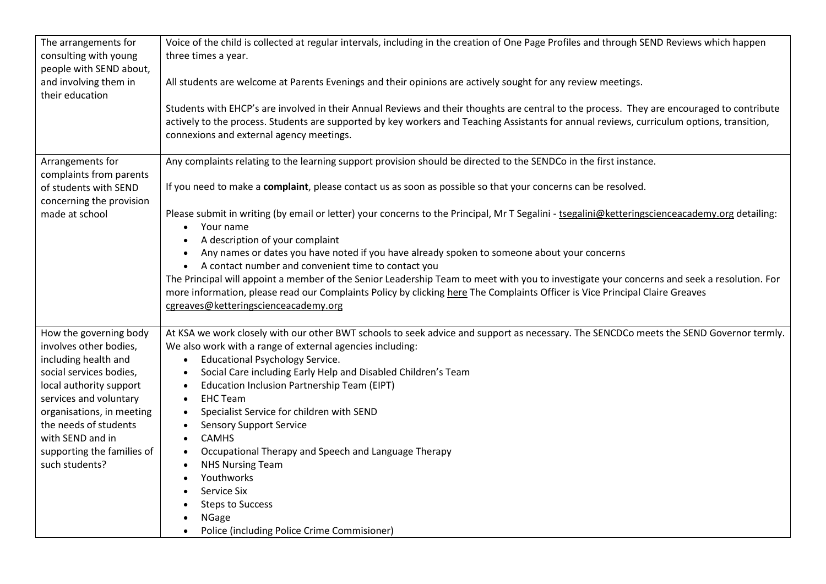| The arrangements for                       | Voice of the child is collected at regular intervals, including in the creation of One Page Profiles and through SEND Reviews which happen     |
|--------------------------------------------|------------------------------------------------------------------------------------------------------------------------------------------------|
| consulting with young                      | three times a year.                                                                                                                            |
| people with SEND about,                    |                                                                                                                                                |
| and involving them in                      | All students are welcome at Parents Evenings and their opinions are actively sought for any review meetings.                                   |
| their education                            |                                                                                                                                                |
|                                            | Students with EHCP's are involved in their Annual Reviews and their thoughts are central to the process. They are encouraged to contribute     |
|                                            | actively to the process. Students are supported by key workers and Teaching Assistants for annual reviews, curriculum options, transition,     |
|                                            | connexions and external agency meetings.                                                                                                       |
|                                            |                                                                                                                                                |
| Arrangements for                           | Any complaints relating to the learning support provision should be directed to the SENDCo in the first instance.                              |
| complaints from parents                    |                                                                                                                                                |
| of students with SEND                      | If you need to make a complaint, please contact us as soon as possible so that your concerns can be resolved.                                  |
| concerning the provision<br>made at school | Please submit in writing (by email or letter) your concerns to the Principal, Mr T Segalini - tsegalini@ketteringscienceacademy.org detailing: |
|                                            | • Your name                                                                                                                                    |
|                                            | A description of your complaint                                                                                                                |
|                                            | Any names or dates you have noted if you have already spoken to someone about your concerns                                                    |
|                                            | • A contact number and convenient time to contact you                                                                                          |
|                                            | The Principal will appoint a member of the Senior Leadership Team to meet with you to investigate your concerns and seek a resolution. For     |
|                                            | more information, please read our Complaints Policy by clicking here The Complaints Officer is Vice Principal Claire Greaves                   |
|                                            | cgreaves@ketteringscienceacademy.org                                                                                                           |
|                                            |                                                                                                                                                |
| How the governing body                     | At KSA we work closely with our other BWT schools to seek advice and support as necessary. The SENCDCo meets the SEND Governor termly.         |
| involves other bodies,                     | We also work with a range of external agencies including:                                                                                      |
| including health and                       | <b>Educational Psychology Service.</b><br>$\bullet$                                                                                            |
| social services bodies,                    | Social Care including Early Help and Disabled Children's Team                                                                                  |
| local authority support                    | Education Inclusion Partnership Team (EIPT)                                                                                                    |
| services and voluntary                     | <b>EHC Team</b><br>$\bullet$                                                                                                                   |
| organisations, in meeting                  | Specialist Service for children with SEND<br>$\bullet$                                                                                         |
| the needs of students                      | <b>Sensory Support Service</b><br>$\bullet$                                                                                                    |
| with SEND and in                           | <b>CAMHS</b><br>$\bullet$                                                                                                                      |
| supporting the families of                 | Occupational Therapy and Speech and Language Therapy<br>$\bullet$                                                                              |
| such students?                             | <b>NHS Nursing Team</b><br>Youthworks                                                                                                          |
|                                            |                                                                                                                                                |
|                                            | Service Six                                                                                                                                    |
|                                            | <b>Steps to Success</b>                                                                                                                        |
|                                            | <b>NGage</b>                                                                                                                                   |
|                                            | Police (including Police Crime Commisioner)                                                                                                    |